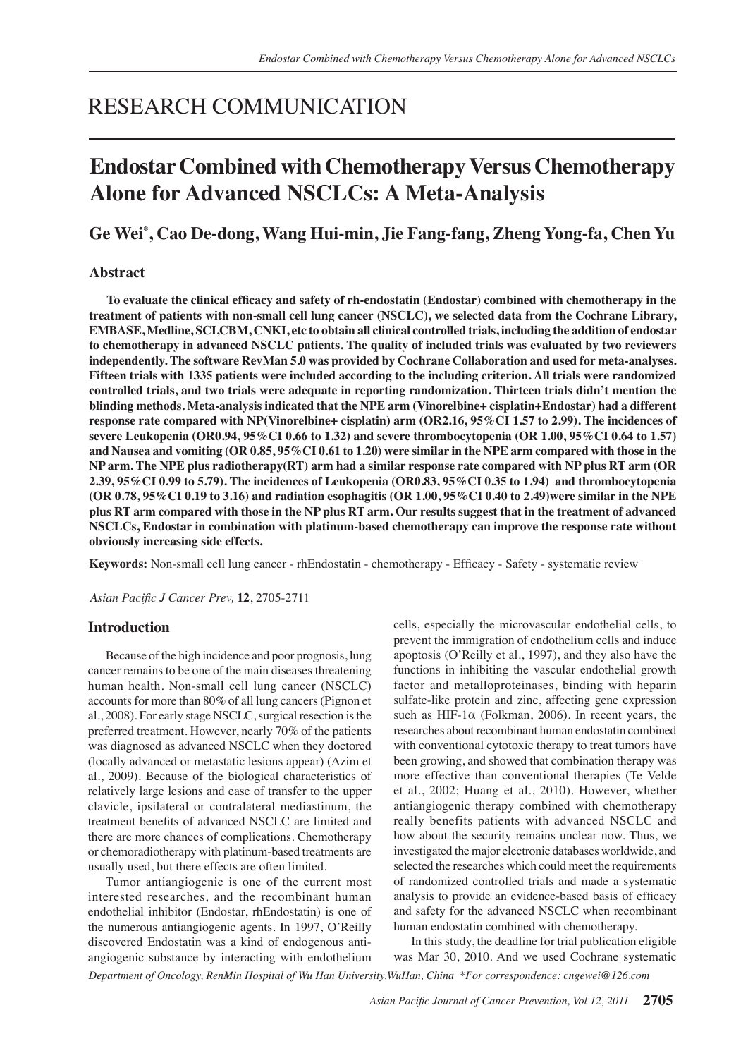# RESEARCH COMMUNICATION

# **Endostar Combined with Chemotherapy Versus Chemotherapy Alone for Advanced NSCLCs: A Meta-Analysis**

# **Ge Wei\* , Cao De-dong, Wang Hui-min, Jie Fang-fang, Zheng Yong-fa, Chen Yu**

# **Abstract**

 **To evaluate the clinical efficacy and safety of rh-endostatin (Endostar) combined with chemotherapy in the treatment of patients with non-small cell lung cancer (NSCLC), we selected data from the Cochrane Library, EMBASE, Medline, SCI,CBM, CNKI, etc to obtain all clinical controlled trials, including the addition of endostar to chemotherapy in advanced NSCLC patients. The quality of included trials was evaluated by two reviewers independently. The software RevMan 5.0 was provided by Cochrane Collaboration and used for meta-analyses. Fifteen trials with 1335 patients were included according to the including criterion. All trials were randomized controlled trials, and two trials were adequate in reporting randomization. Thirteen trials didn't mention the blinding methods. Meta-analysis indicated that the NPE arm (Vinorelbine+ cisplatin+Endostar) had a different response rate compared with NP(Vinorelbine+ cisplatin) arm (OR2.16, 95%CI 1.57 to 2.99). The incidences of severe Leukopenia (OR0.94, 95%CI 0.66 to 1.32) and severe thrombocytopenia (OR 1.00, 95%CI 0.64 to 1.57)** and Nausea and vomiting (OR 0.85, 95%CI 0.61 to 1.20) were similar in the NPE arm compared with those in the NP arm. The NPE plus radiotherapy  $(RT)$  arm had a similar response rate compared with NP plus RT arm (OR **2.39, 95%CI 0.99 to 5.79). The incidences of Leukopenia (OR0.83, 95%CI 0.35 to 1.94) and thrombocytopenia** (OR 0.78, 95% CI 0.19 to 3.16) and radiation esophagitis (OR 1.00, 95% CI 0.40 to 2.49) were similar in the NPE plus RT arm compared with those in the NP plus RT arm. Our results suggest that in the treatment of advanced **NSCLCs, Endostar in combination with platinum-based chemotherapy can improve the response rate without obviously increasing side effects.**

**Keywords:** Non-small cell lung cancer - rhEndostatin - chemotherapy - Efficacy - Safety - systematic review

*Asian Pacific J Cancer Prev,* **12**, 2705-2711

# **Introduction**

Because of the high incidence and poor prognosis, lung cancer remains to be one of the main diseases threatening human health. Non-small cell lung cancer (NSCLC) accounts for more than 80% of all lung cancers (Pignon et al., 2008). For early stage NSCLC, surgical resection is the preferred treatment. However, nearly 70% of the patients was diagnosed as advanced NSCLC when they doctored (locally advanced or metastatic lesions appear) (Azim et al., 2009). Because of the biological characteristics of relatively large lesions and ease of transfer to the upper clavicle, ipsilateral or contralateral mediastinum, the treatment benefits of advanced NSCLC are limited and there are more chances of complications. Chemotherapy or chemoradiotherapy with platinum-based treatments are usually used, but there effects are often limited.

Tumor antiangiogenic is one of the current most interested researches, and the recombinant human endothelial inhibitor (Endostar, rhEndostatin) is one of the numerous antiangiogenic agents. In 1997, O'Reilly discovered Endostatin was a kind of endogenous antiangiogenic substance by interacting with endothelium

cells, especially the microvascular endothelial cells, to prevent the immigration of endothelium cells and induce apoptosis (O'Reilly et al., 1997), and they also have the functions in inhibiting the vascular endothelial growth factor and metalloproteinases, binding with heparin sulfate-like protein and zinc, affecting gene expression such as HIF-1 $\alpha$  (Folkman, 2006). In recent years, the researches about recombinant human endostatin combined with conventional cytotoxic therapy to treat tumors have been growing, and showed that combination therapy was more effective than conventional therapies (Te Velde et al., 2002; Huang et al., 2010). However, whether antiangiogenic therapy combined with chemotherapy really benefits patients with advanced NSCLC and how about the security remains unclear now. Thus, we investigated the major electronic databases worldwide, and selected the researches which could meet the requirements of randomized controlled trials and made a systematic analysis to provide an evidence-based basis of efficacy and safety for the advanced NSCLC when recombinant human endostatin combined with chemotherapy.

In this study, the deadline for trial publication eligible was Mar 30, 2010. And we used Cochrane systematic

*Department of Oncology, RenMin Hospital of Wu Han University,WuHan, China \*For correspondence: cngewei@126.com*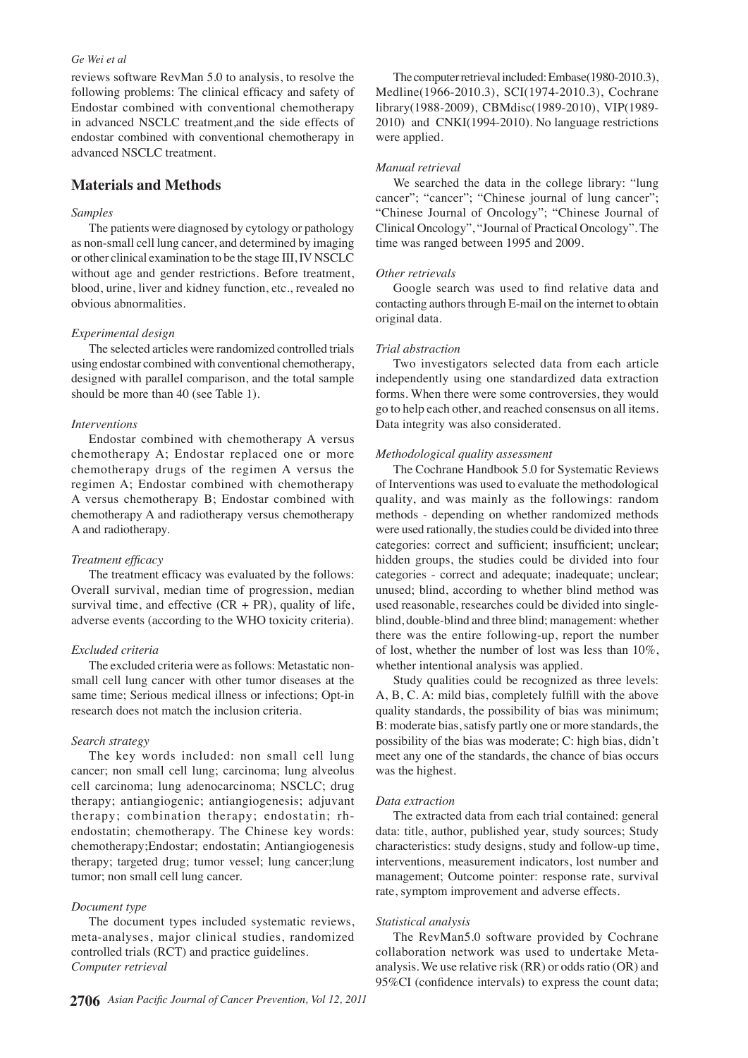#### *Ge Wei et al*

reviews software RevMan 5.0 to analysis, to resolve the following problems: The clinical efficacy and safety of Endostar combined with conventional chemotherapy in advanced NSCLC treatment,and the side effects of endostar combined with conventional chemotherapy in advanced NSCLC treatment.

# **Materials and Methods**

# *Samples*

The patients were diagnosed by cytology or pathology as non-small cell lung cancer, and determined by imaging or other clinical examination to be the stage III, IV NSCLC without age and gender restrictions. Before treatment, blood, urine, liver and kidney function, etc., revealed no obvious abnormalities.

#### *Experimental design*

The selected articles were randomized controlled trials using endostar combined with conventional chemotherapy, designed with parallel comparison, and the total sample should be more than 40 (see Table 1).

## *Interventions*

Endostar combined with chemotherapy A versus chemotherapy A; Endostar replaced one or more chemotherapy drugs of the regimen A versus the regimen A; Endostar combined with chemotherapy A versus chemotherapy B; Endostar combined with chemotherapy A and radiotherapy versus chemotherapy A and radiotherapy.

#### *Treatment efficacy*

The treatment efficacy was evaluated by the follows: Overall survival, median time of progression, median survival time, and effective  $(CR + PR)$ , quality of life, adverse events (according to the WHO toxicity criteria).

#### *Excluded criteria*

The excluded criteria were as follows: Metastatic nonsmall cell lung cancer with other tumor diseases at the same time; Serious medical illness or infections; Opt-in research does not match the inclusion criteria.

### *Search strategy*

The key words included: non small cell lung cancer; non small cell lung; carcinoma; lung alveolus cell carcinoma; lung adenocarcinoma; NSCLC; drug therapy; antiangiogenic; antiangiogenesis; adjuvant therapy; combination therapy; endostatin; rhendostatin; chemotherapy. The Chinese key words: chemotherapy;Endostar; endostatin; Antiangiogenesis therapy; targeted drug; tumor vessel; lung cancer;lung tumor; non small cell lung cancer.

### *Document type*

The document types included systematic reviews, meta-analyses, major clinical studies, randomized controlled trials (RCT) and practice guidelines. *Computer retrieval* 

The computer retrieval included: Embase(1980-2010.3), Medline(1966-2010.3), SCI(1974-2010.3), Cochrane library(1988-2009), CBMdisc(1989-2010), VIP(1989- 2010) and CNKI(1994-2010). No language restrictions were applied.

#### *Manual retrieval*

We searched the data in the college library: "lung cancer"; "cancer"; "Chinese journal of lung cancer"; "Chinese Journal of Oncology"; "Chinese Journal of Clinical Oncology", "Journal of Practical Oncology". The time was ranged between 1995 and 2009.

#### *Other retrievals*

Google search was used to find relative data and contacting authors through E-mail on the internet to obtain original data.

#### *Trial abstraction*

Two investigators selected data from each article independently using one standardized data extraction forms. When there were some controversies, they would go to help each other, and reached consensus on all items. Data integrity was also considerated.

#### *Methodological quality assessment*

The Cochrane Handbook 5.0 for Systematic Reviews of Interventions was used to evaluate the methodological quality, and was mainly as the followings: random methods - depending on whether randomized methods were used rationally, the studies could be divided into three categories: correct and sufficient; insufficient; unclear; hidden groups, the studies could be divided into four categories - correct and adequate; inadequate; unclear; unused; blind, according to whether blind method was used reasonable, researches could be divided into singleblind, double-blind and three blind; management: whether there was the entire following-up, report the number of lost, whether the number of lost was less than 10%, whether intentional analysis was applied.

Study qualities could be recognized as three levels: A, B, C. A: mild bias, completely fulfill with the above quality standards, the possibility of bias was minimum; B: moderate bias, satisfy partly one or more standards, the possibility of the bias was moderate; C: high bias, didn't meet any one of the standards, the chance of bias occurs was the highest.

#### *Data extraction*

The extracted data from each trial contained: general data: title, author, published year, study sources; Study characteristics: study designs, study and follow-up time, interventions, measurement indicators, lost number and management; Outcome pointer: response rate, survival rate, symptom improvement and adverse effects.

#### *Statistical analysis*

The RevMan5.0 software provided by Cochrane collaboration network was used to undertake Metaanalysis. We use relative risk (RR) or odds ratio (OR) and 95%CI (confidence intervals) to express the count data;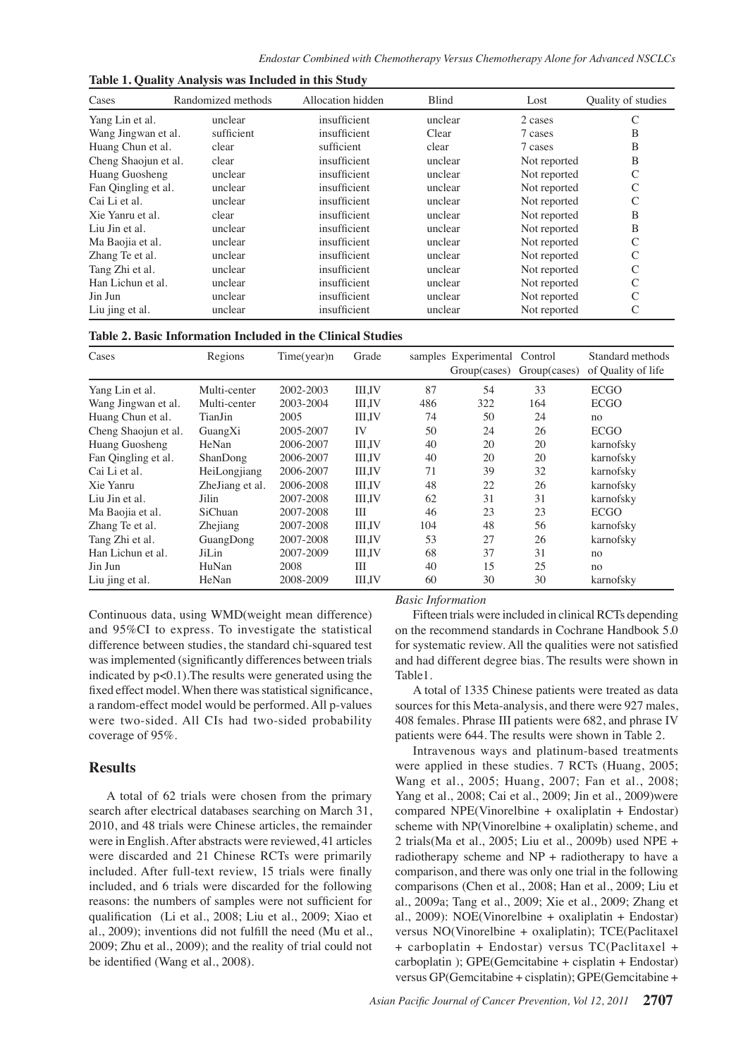| Cases                | Randomized methods | Allocation hidden | <b>Blind</b> | Lost         | Quality of studies |
|----------------------|--------------------|-------------------|--------------|--------------|--------------------|
| Yang Lin et al.      | unclear            | insufficient      | unclear      | 2 cases      | C                  |
| Wang Jingwan et al.  | sufficient         | insufficient      | Clear        | 7 cases      | B                  |
| Huang Chun et al.    | clear              | sufficient        | clear        | 7 cases      | B                  |
| Cheng Shaojun et al. | clear              | insufficient      | unclear      | Not reported | B                  |
| Huang Guosheng       | unclear            | insufficient      | unclear      | Not reported | $\mathsf{C}$       |
| Fan Qingling et al.  | unclear            | insufficient      | unclear      | Not reported | C                  |
| Cai Li et al.        | unclear            | insufficient      | unclear      | Not reported | C                  |
| Xie Yanru et al.     | clear              | insufficient      | unclear      | Not reported | B                  |
| Liu Jin et al.       | unclear            | insufficient      | unclear      | Not reported | B                  |
| Ma Baojia et al.     | unclear            | insufficient      | unclear      | Not reported | C                  |
| Zhang Te et al.      | unclear            | insufficient      | unclear      | Not reported | C                  |
| Tang Zhi et al.      | unclear            | insufficient      | unclear      | Not reported | C                  |
| Han Lichun et al.    | unclear            | insufficient      | unclear      | Not reported | C                  |
| Jin Jun              | unclear            | insufficient      | unclear      | Not reported | C                  |
| Liu jing et al.      | unclear            | insufficient      | unclear      | Not reported | C                  |

**Table 1. Quality Analysis was Included in this Study**

| Cases                | Regions         | Time(year)n | Grade         |     | samples Experimental Control<br>Group(cases) | Group(cases) | Standard methods<br>of Quality of life |
|----------------------|-----------------|-------------|---------------|-----|----------------------------------------------|--------------|----------------------------------------|
| Yang Lin et al.      | Multi-center    | 2002-2003   | <b>III.IV</b> | 87  | 54                                           | 33           | <b>ECGO</b>                            |
| Wang Jingwan et al.  | Multi-center    | 2003-2004   | <b>III.IV</b> | 486 | 322                                          | 164          | <b>ECGO</b>                            |
| Huang Chun et al.    | TianJin         | 2005        | <b>III.IV</b> | 74  | 50                                           | 24           | no                                     |
| Cheng Shaojun et al. | GuangXi         | 2005-2007   | IV            | 50  | 24                                           | 26           | <b>ECGO</b>                            |
| Huang Guosheng       | HeNan           | 2006-2007   | <b>III.IV</b> | 40  | 20                                           | 20           | karnofsky                              |
| Fan Qingling et al.  | ShanDong        | 2006-2007   | <b>III.IV</b> | 40  | 20                                           | 20           | karnofsky                              |
| Cai Li et al.        | HeiLongjiang    | 2006-2007   | <b>III.IV</b> | 71  | 39                                           | 32           | karnofsky                              |
| Xie Yanru            | ZheJiang et al. | 2006-2008   | <b>III.IV</b> | 48  | 22                                           | 26           | karnofsky                              |
| Liu Jin et al.       | Jilin           | 2007-2008   | <b>III.IV</b> | 62  | 31                                           | 31           | karnofsky                              |
| Ma Baojia et al.     | SiChuan         | 2007-2008   | Ш             | 46  | 23                                           | 23           | <b>ECGO</b>                            |
| Zhang Te et al.      | Zhejiang        | 2007-2008   | <b>III.IV</b> | 104 | 48                                           | 56           | karnofsky                              |
| Tang Zhi et al.      | GuangDong       | 2007-2008   | <b>III.IV</b> | 53  | 27                                           | 26           | karnofsky                              |
| Han Lichun et al.    | JiLin           | 2007-2009   | <b>III.IV</b> | 68  | 37                                           | 31           | no                                     |
| Jin Jun              | HuNan           | 2008        | ΠI            | 40  | 15                                           | 25           | no                                     |
| Liu jing et al.      | HeNan           | 2008-2009   | <b>III.IV</b> | 60  | 30                                           | 30           | karnofsky                              |

Continuous data, using WMD(weight mean difference) and 95%CI to express. To investigate the statistical difference between studies, the standard chi-squared test was implemented (significantly differences between trials indicated by p<0.1).The results were generated using the fixed effect model. When there was statistical significance, a random-effect model would be performed. All p-values were two-sided. All CIs had two-sided probability coverage of 95%.

## **Results**

A total of 62 trials were chosen from the primary search after electrical databases searching on March 31, 2010, and 48 trials were Chinese articles, the remainder were in English. After abstracts were reviewed, 41 articles were discarded and 21 Chinese RCTs were primarily included. After full-text review, 15 trials were finally included, and 6 trials were discarded for the following reasons: the numbers of samples were not sufficient for qualification (Li et al., 2008; Liu et al., 2009; Xiao et al., 2009); inventions did not fulfill the need (Mu et al., 2009; Zhu et al., 2009); and the reality of trial could not be identified (Wang et al., 2008).

#### *Basic Information*

Fifteen trials were included in clinical RCTs depending on the recommend standards in Cochrane Handbook 5.0 for systematic review. All the qualities were not satisfied and had different degree bias. The results were shown in Table1.

A total of 1335 Chinese patients were treated as data sources for this Meta-analysis, and there were 927 males, 408 females. Phrase Ⅲ patients were 682, and phrase IV patients were 644. The results were shown in Table 2.

Intravenous ways and platinum-based treatments were applied in these studies. 7 RCTs (Huang, 2005; Wang et al., 2005; Huang, 2007; Fan et al., 2008; Yang et al., 2008; Cai et al., 2009; Jin et al., 2009)were compared NPE(Vinorelbine + oxaliplatin + Endostar) scheme with NP(Vinorelbine + oxaliplatin) scheme, and 2 trials(Ma et al., 2005; Liu et al., 2009b) used NPE + radiotherapy scheme and NP + radiotherapy to have a comparison, and there was only one trial in the following comparisons (Chen et al., 2008; Han et al., 2009; Liu et al., 2009a; Tang et al., 2009; Xie et al., 2009; Zhang et al., 2009): NOE(Vinorelbine + oxaliplatin + Endostar) versus NO(Vinorelbine + oxaliplatin); TCE(Paclitaxel + carboplatin + Endostar) versus TC(Paclitaxel + carboplatin ); GPE(Gemcitabine + cisplatin + Endostar) versus GP(Gemcitabine + cisplatin); GPE(Gemcitabine +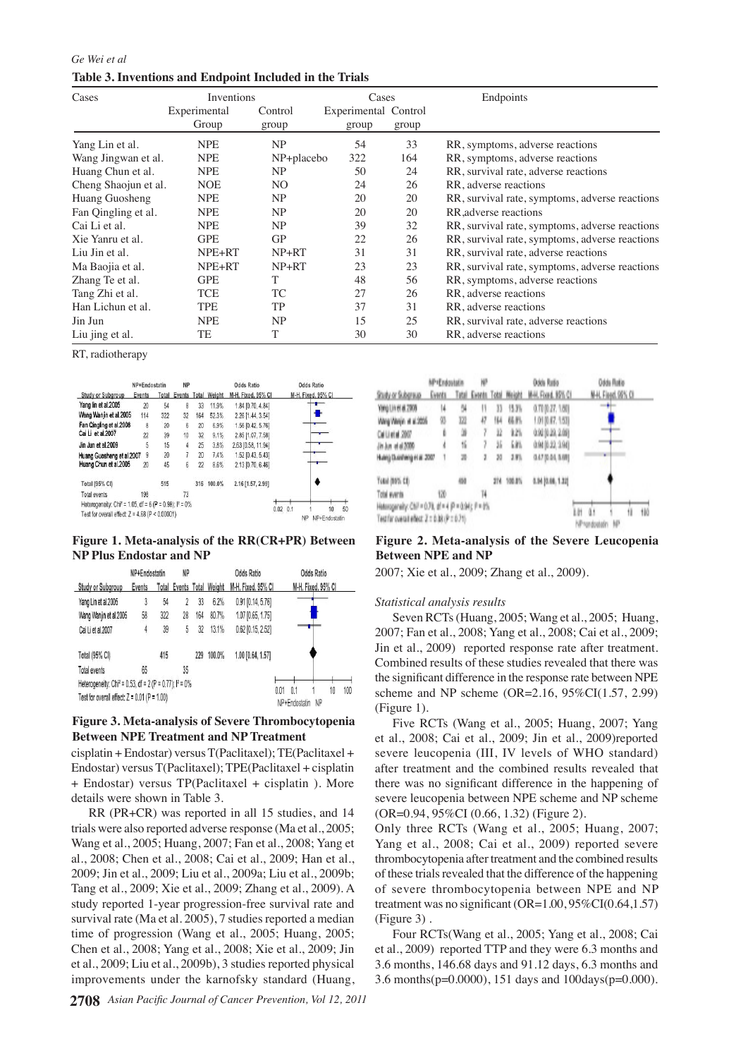*Ge Wei et al* **Table 3. Inventions and Endpoint Included in the Trials**

| Cases                | Inventions   |            | Cases                |       | Endpoints                                           |
|----------------------|--------------|------------|----------------------|-------|-----------------------------------------------------|
|                      | Experimental | Control    | Experimental Control |       |                                                     |
|                      | Group        | group      | group                | group |                                                     |
| Yang Lin et al.      | <b>NPE</b>   | NP         | 54                   | 33    | RR, symptoms, adverse reactions                     |
| Wang Jingwan et al.  | <b>NPE</b>   | NP+placebo | 322                  | 164   | RR, symptoms, adverse reactions                     |
| Huang Chun et al.    | <b>NPE</b>   | NP         | 50                   | 24    | RR, survival rate, adverse reactions                |
| Cheng Shaojun et al. | <b>NOE</b>   | NO.        | 24                   | 26    | RR, adverse reactions                               |
| Huang Guosheng       | <b>NPE</b>   | NP         | 20                   | 20    | RR, survival rate, symptoms, adverse reactions      |
| Fan Qingling et al.  | <b>NPE</b>   | NP         | 20                   | 20    | RR adverse reactions                                |
| Cai Li et al.        | <b>NPE</b>   | NP         | 39                   | 32    | RR, survival rate, symptoms, adverse reactions 00.0 |
| Xie Yanru et al.     | <b>GPE</b>   | <b>GP</b>  | 22                   | 26    | RR, survival rate, symptoms, adverse reactions      |
| Liu Jin et al.       | NPE+RT       | $NP+RT$    | 31                   | 31    | RR, survival rate, adverse reactions                |
| Ma Baojia et al.     | NPE+RT       | $NP+RT$    | 23                   | 23    | RR, survival rate, symptoms, adverse reactions      |
| Zhang Te et al.      | <b>GPE</b>   | T          | 48                   | 56    | 75.0<br>RR, symptoms, adverse reactions             |
| Tang Zhi et al.      | <b>TCE</b>   | TC         | 27                   | 26    | RR, adverse reactions                               |
| Han Lichun et al.    | <b>TPE</b>   | TP         | 37                   | 31    | RR, adverse reactions                               |
| Jin Jun              | <b>NPE</b>   | NP         | 15                   | 25    | RR, survival rate, adverse reactions                |
| Liu jing et al.      | TE           | T          | 30                   | 30    | 50.0<br>RR, adverse reactions                       |

RT, radiotherapy

|                                                        | NP+Endostatin |       | NP     |     |                     | Odds Ratio         | <b>Odds Ratio</b>                                    |
|--------------------------------------------------------|---------------|-------|--------|-----|---------------------|--------------------|------------------------------------------------------|
| Study or Subaroup                                      | Events        | Total | Events |     | <b>Total Weight</b> | M-H. Fixed, 95% CI | M-H. Fixed, 95% Cl.                                  |
| Yang lin et al.2005                                    | 20            | 54    | 8      | 33  | 11.9%               | 1.84 [0.70, 4.84]  |                                                      |
| Wang Wanjin et al.2005                                 | 114           | 322   | 32     | 164 | 52.3%               | 2.26 [1.44, 3.54]  |                                                      |
| Fan Qingling et al.2008                                | 8             | 20    | 6      | 20  | 6.9%                | 1.56 [0.42, 5.76]  |                                                      |
| Cai Li et al.2007                                      | 22            | 39    | 10     | 32  | 9.1%                | 2.85 [1.07, 7.58]  |                                                      |
| Jin Jun et al 2009                                     | 5             | 15    |        | 25  | 3.8%                | 2.63 [0.58, 11.94] |                                                      |
| Huang Guosheng et al.2007                              | 9             | 20    | 7      | 20  | 7.4%                | 1.52 [0.43, 5.43]  |                                                      |
| Huang Chun et al.2005                                  | 20            | 45    | 6      | 22  | 8.6%                | 2.13 [0.70, 6.46]  |                                                      |
| Total (95% CI)                                         |               | 515   |        |     | 316 100.0%          | 2.16 [1.57, 2.99]  |                                                      |
| Total events                                           | 198           |       | 73     |     |                     |                    |                                                      |
| Heterogeneity: Chi? = 1.05, df = 6 (P = 0.98); l? = 0% |               |       |        |     |                     |                    |                                                      |
| Test for overall effect: $Z = 4.68$ (P < 0.00001)      |               |       |        |     |                     |                    | $0.02 \quad 0.1$<br>10<br><b>NP</b><br>NP+Fndostatin |

# **Figure 1. Meta-analysis of the RR(CR+PR) Between NP Plus Endostar and NP**

|                                                                        | NP+Endostatin   |     | NP |     |                     | <b>Odds Ratio</b>   | <b>Odds Ratio</b>                               |
|------------------------------------------------------------------------|-----------------|-----|----|-----|---------------------|---------------------|-------------------------------------------------|
| <b>Study or Subgroup</b>                                               | Total<br>Events |     |    |     | Events Total Weight | M-H, Fixed, 95% CI  | M-H. Fixed, 95% CI                              |
| Yang Lin et al.2005                                                    | 3               | 54  |    | 33  | 6.2%                | 0.91 [0.14, 5.76]   |                                                 |
| Wang Wanjin et al.2005                                                 | 58              | 322 | 28 | 164 | 80.7%               | 1.07 [0.65, 1.75]   |                                                 |
| Cai Li et al.2007                                                      | 4               | 39  | 5  | 32  | 13.1%               | $0.62$ [0.15, 2.52] |                                                 |
| Total (95% CI)                                                         |                 | 415 |    | 229 | 100.0%              | 1.00 [0.64, 1.57]   |                                                 |
| Total events                                                           | 65              |     | 35 |     |                     |                     |                                                 |
| Heterogeneity: Chi <sup>2</sup> = 0.53, df = 2 (P = 0.77); $I^2 = 0\%$ |                 |     |    |     |                     |                     |                                                 |
| Test for overall effect: $Z = 0.01$ (P = 1.00)                         |                 |     |    |     |                     |                     | 100<br>0.01<br>0.1<br>10<br>NP<br>NP+Endostatin |

# **Figure 3. Meta-analysis of Severe Thrombocytopenia Between NPE Treatment and NP Treatment**

cisplatin + Endostar) versus T(Paclitaxel); TE(Paclitaxel + Endostar) versus T(Paclitaxel); TPE(Paclitaxel + cisplatin + Endostar) versus TP(Paclitaxel + cisplatin ). More details were shown in Table 3.

RR (PR+CR) was reported in all 15 studies, and 14 trials were also reported adverse response (Ma et al., 2005; Wang et al., 2005; Huang, 2007; Fan et al., 2008; Yang et al., 2008; Chen et al., 2008; Cai et al., 2009; Han et al., 2009; Jin et al., 2009; Liu et al., 2009a; Liu et al., 2009b; Tang et al., 2009; Xie et al., 2009; Zhang et al., 2009). A study reported 1-year progression-free survival rate and survival rate (Ma et al. 2005), 7 studies reported a median time of progression (Wang et al., 2005; Huang, 2005; Chen et al., 2008; Yang et al., 2008; Xie et al., 2009; Jin et al., 2009; Liu et al., 2009b), 3 studies reported physical improvements under the karnofsky standard (Huang,

|                                                        | <b>MP1Endostatio</b> |     | ۳            |    |              | Ocks Ratio          |              | Odds Ratio         |     | 25.0 |
|--------------------------------------------------------|----------------------|-----|--------------|----|--------------|---------------------|--------------|--------------------|-----|------|
| Statu or Substitute                                    | Genta                |     | <b>Lista</b> |    | Total Weight | M-IL Fload, 1976 CL |              | N-H, Fleed, 98% OI |     |      |
| Ying Lines at 2009                                     | I4                   |     |              | Ю  | 11 J I       | 0.7000.27, 1.801    |              | ÷                  |     |      |
| Weg Weijn in a 2005                                    | 용                    | 14  | 47           | 惧  | 65 F         | 1.01 (0.07, 1.53)   |              |                    |     |      |
| Celleral 2007                                          | ŀ                    |     |              | R  | 125          | 0.02 (0.39, 2.08)   |              |                    |     | 0    |
| Jh kn dd 200                                           | ł                    | fi. | f.           | ä. | 価            | 0.94 (6.32, 1.94)   |              |                    |     |      |
| Hang Danking is a 2007                                 |                      | ж   | ı            | 30 | 2.9%         | 047 004, 348        |              | ш                  |     |      |
| Total (MVS CD)                                         |                      | 硼   |              |    | 274 100.0%   | 4.14 (6.66, 1.32)   |              |                    |     |      |
| Total eyerda                                           | 120                  |     | Ħ            |    |              |                     |              |                    |     |      |
| Heteogeneity: Ctill = 0.78, dl = 4 (P = 0.94); fl = 0% |                      |     |              |    |              |                     |              |                    |     |      |
| Test for overall effect: 2 x 0.00 (P x 0.71)           |                      |     |              |    |              |                     | NPhonebooten | 昵                  | 110 |      |

# **Figure 2. Meta-analysis of the Severe Leucopenia Between NPE and NP**

2007; Xie et al., 2009; Zhang et al., 2009).

## *Statistical analysis results*

Seven RCTs (Huang, 2005; Wang et al., 2005; Huang, 2007; Fan et al., 2008; Yang et al., 2008; Cai et al., 2009; Jin et al., 2009) reported response rate after treatment. Combined results of these studies revealed that there was the significant difference in the response rate between NPE scheme and NP scheme (OR=2.16, 95%CI(1.57, 2.99) (Figure 1).

Five RCTs (Wang et al., 2005; Huang, 2007; Yang et al., 2008; Cai et al., 2009; Jin et al., 2009)reported severe leucopenia (III, IV levels of WHO standard) after treatment and the combined results revealed that there was no significant difference in the happening of severe leucopenia between NPE scheme and NP scheme (OR=0.94, 95%CI (0.66, 1.32) (Figure 2).

Only three RCTs (Wang et al., 2005; Huang, 2007; Yang et al., 2008; Cai et al., 2009) reported severe thrombocytopenia after treatment and the combined results of these trials revealed that the difference of the happening of severe thrombocytopenia between NPE and NP treatment was no significant  $(OR=1.00, 95\% CI(0.64, 1.57))$ (Figure 3) .

Four RCTs(Wang et al., 2005; Yang et al., 2008; Cai et al., 2009) reported TTP and they were 6.3 months and 3.6 months, 146.68 days and 91.12 days, 6.3 months and 3.6 months(p=0.0000), 151 days and 100days(p=0.000).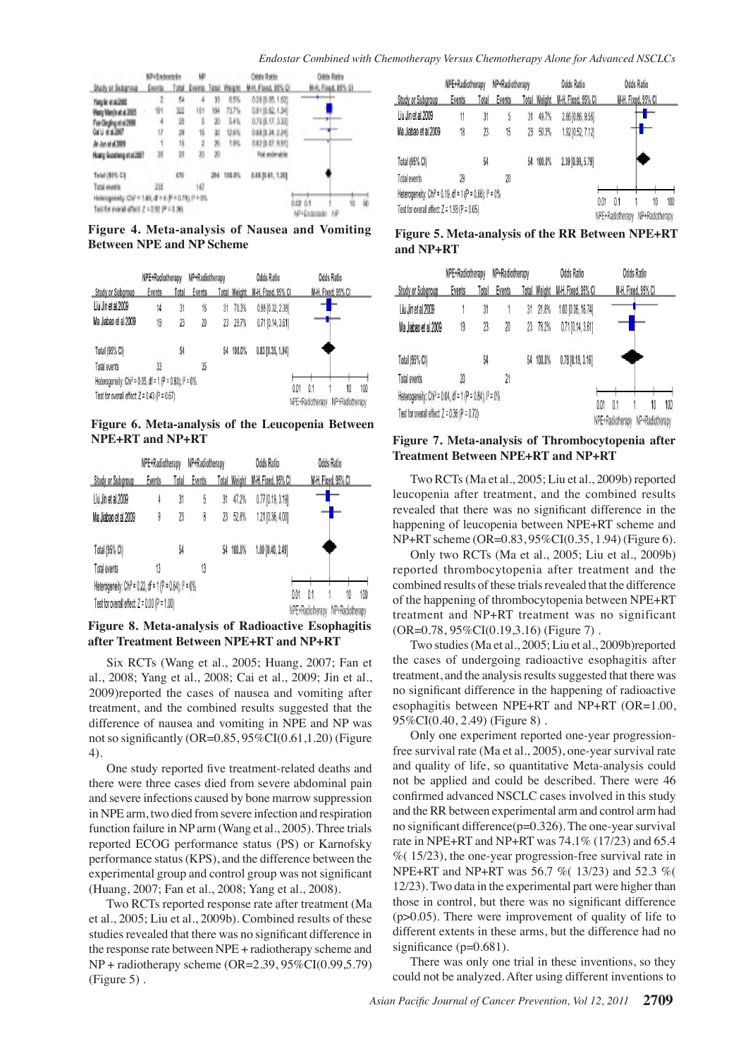|                                                      | NP»Endortnin |     | ЫP  |    |                           | Odda Ratio         | Odda Ratio                         |    |
|------------------------------------------------------|--------------|-----|-----|----|---------------------------|--------------------|------------------------------------|----|
| Study or Subgroup                                    | Events.      |     |     |    | Total Events Total Weight | M-IL Fload, 93% OF | II-8, Fixed, 19% 01                |    |
| Yang fan et al 2005                                  | Z            | Ņ.  | â   | в  | 65%                       | 0.38 (0.05.1.62)   |                                    |    |
| Many Manja et al.2005                                | 對            | X.  | 悄   | 懈  | 73.TV                     | 0.转象级:13号          |                                    |    |
| Fin Onding at al 2004                                | 4            | и   | ŝ   | z  | 94%                       | 0.75 (8, 17, 130)  | ٠                                  |    |
| GAU é a 2017                                         | 1ř           | 湤   | ti  | в  | 12.6%                     | 0.88 (0.34, 2.39)  |                                    |    |
| At An at 4,3000                                      | 1            | 18  | 2   | 26 | 186                       | 0.82 (8.07, 0.01)  |                                    |    |
| Hung Goodwig stat2007                                | 20           | ä   | 20  | 30 |                           | Not exterable      |                                    |    |
| Telah (1996-CB)                                      |              | 479 |     | ж  | 101.9%                    | 0.88 (0.81, 1.20)  |                                    |    |
| Tatal events                                         | 28           |     | 16ř |    |                           |                    |                                    |    |
| Heavingweeky Chili = 1.89, dF = 4 (P = 0.71) 11 = 0% |              |     |     |    |                           |                    |                                    | ü. |
| Tell for event affect 2 + 0.92 (P.F.                 |              |     |     |    |                           |                    | 怕<br>0.02 0.1<br>NP<br>NP+Elidade@ |    |

**Figure 4. Meta-analysis of Nausea and Vomiting Between NPE and NP Scheme Figure 5. Meta-analysis of the RR Between NPE+RT**

|                                                                                | NPE+Radiotherapy |       | NP+Radiotherapy |    |                     | <b>Odds Ratio</b>       |  | <b>Odds Ratio</b>     |                          |  |  |
|--------------------------------------------------------------------------------|------------------|-------|-----------------|----|---------------------|-------------------------|--|-----------------------|--------------------------|--|--|
| Study or Subgroup                                                              | Events           | Total | Events          |    | <b>Total Weight</b> | M-H. Fixed, 95% CI      |  |                       | M-H. Fixed, 95% CI       |  |  |
| Liu Jin et al.2009                                                             | 14               | 31    | 15              | 31 | 70.3%               | $0.88$ $[0.32, 2.38]$   |  |                       | $\overline{\phantom{a}}$ |  |  |
| Ma Jiabao et al.2009                                                           | 19               | 23    | 20              | 23 | 29.7%               | $0.71$ [0.14, 3.61]     |  |                       |                          |  |  |
| Total (95% CI)                                                                 |                  | 54    |                 | 54 | 100.0%              | $0.83$ [0.35, 1.94]     |  |                       |                          |  |  |
| Total events                                                                   | 33               |       | 35              |    |                     |                         |  |                       |                          |  |  |
| Heterogeneity: Chi <sup>2</sup> = 0.05, df = 1 (P = 0.83); l <sup>2</sup> = 0% |                  |       |                 |    |                     |                         |  |                       |                          |  |  |
| Test for overall effect: $Z = 0.43$ (P = 0.67)                                 |                  |       |                 |    | 0.01                | 0.1<br>NPE+Radiotherapy |  | 10<br>NP+Radiotherapy | 100                      |  |  |

**Figure 6. Meta-analysis of the Leucopenia Between NPE+RT and NP+RT Figure 7. Meta-analysis of Thrombocytopenia after**

|                                                                      | NPE+Radiotherapy |       | NP+Radiotherapy |    | <b>Odds Ratio</b>   |                         |  |                       |                    |  |  |
|----------------------------------------------------------------------|------------------|-------|-----------------|----|---------------------|-------------------------|--|-----------------------|--------------------|--|--|
| <b>Study or Subgroup</b>                                             | <b>Events</b>    | Total | <b>Events</b>   |    | <b>Total Weight</b> | M-H. Fixed, 95% CI      |  |                       | M-H. Fixed, 95% Cl |  |  |
| Liu Jin et al.2009                                                   | 4                | 31    | 5               | 31 | 47.2%               | $0.77$ [0.19, 3.19]     |  |                       |                    |  |  |
| Ma Jiabao et al.2009                                                 | 9                | 23    | 8               | 23 | 52.8%               | 1.21 [0.36, 4.00]       |  |                       |                    |  |  |
| Total (95% CI)                                                       |                  | 54    |                 | 54 | 100.0%              | 1.00 [0.40, 2.49]       |  |                       |                    |  |  |
| Total events                                                         | 13               |       | 13              |    |                     |                         |  |                       |                    |  |  |
| Heterogeneity: Chi <sup>2</sup> = 0.22, df = 1 (P = 0.64); $P = 0\%$ |                  |       |                 |    |                     |                         |  |                       |                    |  |  |
| Test for overall effect: $Z = 0.00$ (P = 1.00)                       |                  |       |                 |    | 0.01                | 0.1<br>NPF+Radiotherany |  | 10<br>NP+Radiotherany | 100                |  |  |

**Figure 8. Meta-analysis of Radioactive Esophagitis after Treatment Between NPE+RT and NP+RT**

Six RCTs (Wang et al., 2005; Huang, 2007; Fan et al., 2008; Yang et al., 2008; Cai et al., 2009; Jin et al., 2009)reported the cases of nausea and vomiting after treatment, and the combined results suggested that the difference of nausea and vomiting in NPE and NP was not so significantly (OR=0.85, 95%CI(0.61,1.20) (Figure 4).

One study reported five treatment-related deaths and there were three cases died from severe abdominal pain and severe infections caused by bone marrow suppression in NPE arm, two died from severe infection and respiration function failure in NP arm (Wang et al., 2005). Three trials reported ECOG performance status (PS) or Karnofsky performance status (KPS), and the difference between the experimental group and control group was not significant (Huang, 2007; Fan et al., 2008; Yang et al., 2008).

Two RCTs reported response rate after treatment (Ma et al., 2005; Liu et al., 2009b). Combined results of these studies revealed that there was no significant difference in the response rate between NPE + radiotherapy scheme and NP + radiotherapy scheme (OR=2.39, 95%CI(0.99,5.79) (Figure 5) .

|                                                                                | NPE+Radiotherapy |       | NP+Radiotherapy |    |              | <b>Odds Ratio</b>  |      | <b>Odds Ratio</b>  |                 |    |     |
|--------------------------------------------------------------------------------|------------------|-------|-----------------|----|--------------|--------------------|------|--------------------|-----------------|----|-----|
| <b>Study or Subgroup</b>                                                       | Events           | Total | Events          |    | Total Weight | M-H, Fixed, 95% Cl |      | M-H, Fixed, 95% Cl |                 |    |     |
| Liu Jin et al.2009                                                             | 11               | 31    | 5               | 31 | 49.7%        | 2.86 [0.86, 9.56]  |      |                    |                 |    |     |
| Ma Jiabao et al.2009                                                           | 18               | 23    | 15              | 23 | 50.3%        | 1.92 [0.52, 7.12]  |      |                    |                 |    |     |
| Total (95% CI)                                                                 |                  | 54    |                 | 54 | 100.0%       | 2.39 [0.99, 5.79]  |      |                    |                 |    |     |
| Total events                                                                   | 29               |       | 20              |    |              |                    |      |                    |                 |    |     |
| Heterogeneity: Chi <sup>2</sup> = 0.19, df = 1 (P = 0.66); l <sup>2</sup> = 0% |                  |       |                 |    |              |                    | 0.01 | 0.1                |                 | 10 | 100 |
| Test for overall effect: $Z = 1.93$ (P = 0.05)                                 |                  |       |                 |    |              |                    |      | NPE+Radiotherapy   | NP+Radiotherapy |    |     |

**and NP+RT**

|                                                                                | NPE+Radiotherapy       |    | NP+Radiotherapy |      | Odds Ratio          |                     |  | Odds Ratio       |  |                    |  |  |
|--------------------------------------------------------------------------------|------------------------|----|-----------------|------|---------------------|---------------------|--|------------------|--|--------------------|--|--|
| Study or Subgroup                                                              | <b>Events</b><br>Total |    | <b>Events</b>   |      | <b>Total Weight</b> | M-H, Fixed, 95% Cl  |  |                  |  | M-H. Fixed, 95% Cl |  |  |
| Liu Jin et al.2009                                                             |                        | 31 |                 | 31   | 21.8%               | 1.00 [0.06, 16.74]  |  |                  |  |                    |  |  |
| Ma Jiabao et al.2009                                                           | 19                     | 23 | 20              | 23   | 78.2%               | $0.71$ [0.14, 3.61] |  |                  |  |                    |  |  |
| Total (95% CI)                                                                 |                        | 54 |                 | 54   | 100.0%              | $0.78$ [0.19, 3.16] |  |                  |  |                    |  |  |
| Total events                                                                   | 20                     |    | $\overline{2}$  |      |                     |                     |  |                  |  |                    |  |  |
| Heterogeneity: Chi <sup>2</sup> = 0.04, df = 1 (P = 0.84); l <sup>2</sup> = 0% |                        |    |                 | 0.01 | 0.1                 |                     |  | 100              |  |                    |  |  |
| Test for overall effect: $Z = 0.36$ (P = 0.72)                                 |                        |    |                 |      |                     |                     |  | NPE+Radiotherapy |  | NP+Radiotherapy    |  |  |

# **Treatment Between NPE+RT and NP+RT**

Two RCTs (Ma et al., 2005; Liu et al., 2009b) reported leucopenia after treatment, and the combined results revealed that there was no significant difference in the happening of leucopenia between NPE+RT scheme and NP+RT scheme (OR=0.83, 95%CI(0.35, 1.94) (Figure 6).

Only two RCTs (Ma et al., 2005; Liu et al., 2009b) reported thrombocytopenia after treatment and the combined results of these trials revealed that the difference of the happening of thrombocytopenia between NPE+RT treatment and NP+RT treatment was no significant (OR=0.78, 95%CI(0.19,3.16) (Figure 7) .

Two studies (Ma et al., 2005; Liu et al., 2009b)reported the cases of undergoing radioactive esophagitis after treatment, and the analysis results suggested that there was no significant difference in the happening of radioactive esophagitis between NPE+RT and NP+RT (OR=1.00, 95%CI(0.40, 2.49) (Figure 8) .

Only one experiment reported one-year progressionfree survival rate (Ma et al., 2005), one-year survival rate and quality of life, so quantitative Meta-analysis could not be applied and could be described. There were 46 confirmed advanced NSCLC cases involved in this study and the RR between experimental arm and control arm had no significant difference(p=0.326). The one-year survival rate in NPE+RT and NP+RT was 74.1% (17/23) and 65.4  $% (15/23)$ , the one-year progression-free survival rate in NPE+RT and NP+RT was 56.7 %( 13/23) and 52.3 %( 12/23). Two data in the experimental part were higher than those in control, but there was no significant difference  $(p>0.05)$ . There were improvement of quality of life to different extents in these arms, but the difference had no significance (p=0.681).

There was only one trial in these inventions, so they could not be analyzed. After using different inventions to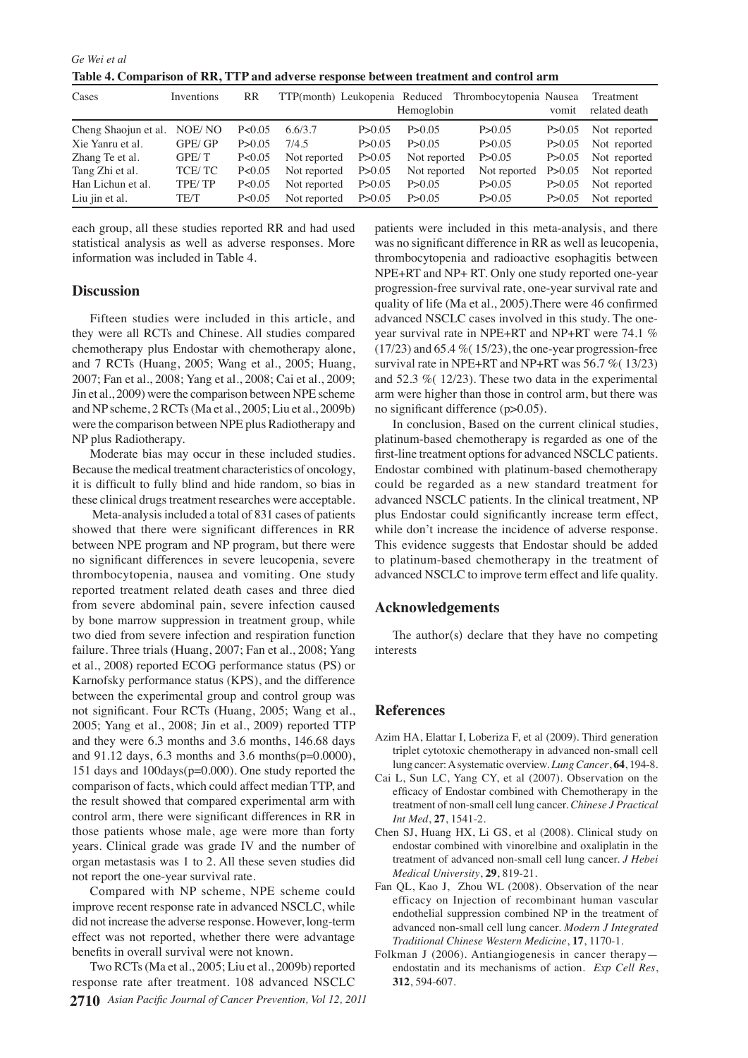*Ge Wei et al* **Table 4. Comparison of RR, TTP and adverse response between treatment and control arm** 

| Cases                       | Inventions | RR       |              |          | Hemoglobin   | TTP(month) Leukopenia Reduced Thrombocytopenia Nausea | vomit    | Treatment<br>related death |
|-----------------------------|------------|----------|--------------|----------|--------------|-------------------------------------------------------|----------|----------------------------|
| Cheng Shaojun et al. NOE/NO |            | P<0.05   | 6.6/3.7      | P > 0.05 | P > 0.05     | P > 0.05                                              | P > 0.05 | Not reported               |
| Xie Yanru et al.            | GPE/GP     | P > 0.05 | 7/4.5        | P > 0.05 | P > 0.05     | P > 0.05                                              | P > 0.05 | Not reported               |
| Zhang Te et al.             | GPE/T      | P < 0.05 | Not reported | P > 0.05 | Not reported | P > 0.05                                              | P > 0.05 | Not reported               |
| Tang Zhi et al.             | TCE/TC     | P < 0.05 | Not reported | P > 0.05 | Not reported | Not reported                                          | P > 0.05 | Not reported               |
| Han Lichun et al.           | TPE/TP     | P<0.05   | Not reported | P > 0.05 | P > 0.05     | P > 0.05                                              | P > 0.05 | Not reported               |
| Liu jin et al.              | TE/T       | P<0.05   | Not reported | P > 0.05 | P > 0.05     | P > 0.05                                              | P > 0.05 | Not reported               |

each group, all these studies reported RR and had used statistical analysis as well as adverse responses. More information was included in Table 4.

# **Discussion**

Fifteen studies were included in this article, and they were all RCTs and Chinese. All studies compared chemotherapy plus Endostar with chemotherapy alone, and 7 RCTs (Huang, 2005; Wang et al., 2005; Huang, 2007; Fan et al., 2008; Yang et al., 2008; Cai et al., 2009; Jin et al., 2009) were the comparison between NPE scheme and NP scheme, 2 RCTs (Ma et al., 2005; Liu et al., 2009b) were the comparison between NPE plus Radiotherapy and NP plus Radiotherapy.

Moderate bias may occur in these included studies. Because the medical treatment characteristics of oncology, it is difficult to fully blind and hide random, so bias in these clinical drugs treatment researches were acceptable.

 Meta-analysis included a total of 831 cases of patients showed that there were significant differences in RR between NPE program and NP program, but there were no significant differences in severe leucopenia, severe thrombocytopenia, nausea and vomiting. One study reported treatment related death cases and three died from severe abdominal pain, severe infection caused by bone marrow suppression in treatment group, while two died from severe infection and respiration function failure. Three trials (Huang, 2007; Fan et al., 2008; Yang et al., 2008) reported ECOG performance status (PS) or Karnofsky performance status (KPS), and the difference between the experimental group and control group was not significant. Four RCTs (Huang, 2005; Wang et al., 2005; Yang et al., 2008; Jin et al., 2009) reported TTP and they were 6.3 months and 3.6 months, 146.68 days and 91.12 days, 6.3 months and 3.6 months(p=0.0000), 151 days and 100days(p=0.000). One study reported the comparison of facts, which could affect median TTP, and the result showed that compared experimental arm with control arm, there were significant differences in RR in those patients whose male, age were more than forty years. Clinical grade was grade IV and the number of organ metastasis was 1 to 2. All these seven studies did not report the one-year survival rate.

Compared with NP scheme, NPE scheme could improve recent response rate in advanced NSCLC, while did not increase the adverse response. However, long-term effect was not reported, whether there were advantage benefits in overall survival were not known.

**2710** *Asian Pacific Journal of Cancer Prevention, Vol 12, 2011* Two RCTs (Ma et al., 2005; Liu et al., 2009b) reported response rate after treatment. 108 advanced NSCLC

patients were included in this meta-analysis, and there was no significant difference in RR as well as leucopenia, thrombocytopenia and radioactive esophagitis between NPE+RT and NP+ RT. Only one study reported one-year progression-free survival rate, one-year survival rate and quality of life (Ma et al., 2005).There were 46 confirmed advanced NSCLC cases involved in this study. The oneyear survival rate in NPE+RT and NP+RT were 74.1 %  $(17/23)$  and 65.4 % $(15/23)$ , the one-year progression-free survival rate in NPE+RT and NP+RT was 56.7 %( 13/23) and 52.3 %( 12/23). These two data in the experimental arm were higher than those in control arm, but there was no significant difference (p>0.05).

In conclusion, Based on the current clinical studies, platinum-based chemotherapy is regarded as one of the first-line treatment options for advanced NSCLC patients. Endostar combined with platinum-based chemotherapy could be regarded as a new standard treatment for advanced NSCLC patients. In the clinical treatment, NP plus Endostar could significantly increase term effect, while don't increase the incidence of adverse response. This evidence suggests that Endostar should be added to platinum-based chemotherapy in the treatment of advanced NSCLC to improve term effect and life quality.

## **Acknowledgements**

The author(s) declare that they have no competing interests

# **References**

- Azim HA, Elattar I, Loberiza F, et al (2009). Third generation triplet cytotoxic chemotherapy in advanced non-small cell lung cancer: A systematic overview. *Lung Cancer*, **64**, 194-8.
- Cai L, Sun LC, Yang CY, et al (2007). Observation on the efficacy of Endostar combined with Chemotherapy in the treatment of non-small cell lung cancer. *Chinese J Practical Int Med*, **27**, 1541-2.
- Chen SJ, Huang HX, Li GS, et al (2008). Clinical study on endostar combined with vinorelbine and oxaliplatin in the treatment of advanced non-small cell lung cancer. *J Hebei Medical University*, **29**, 819-21.
- Fan QL, Kao J, Zhou WL (2008). Observation of the near efficacy on Injection of recombinant human vascular endothelial suppression combined NP in the treatment of advanced non-small cell lung cancer. *Modern J Integrated Traditional Chinese Western Medicine*, **17**, 1170-1.
- Folkman J (2006). Antiangiogenesis in cancer therapy endostatin and its mechanisms of action. *Exp Cell Res*, **312**, 594-607.